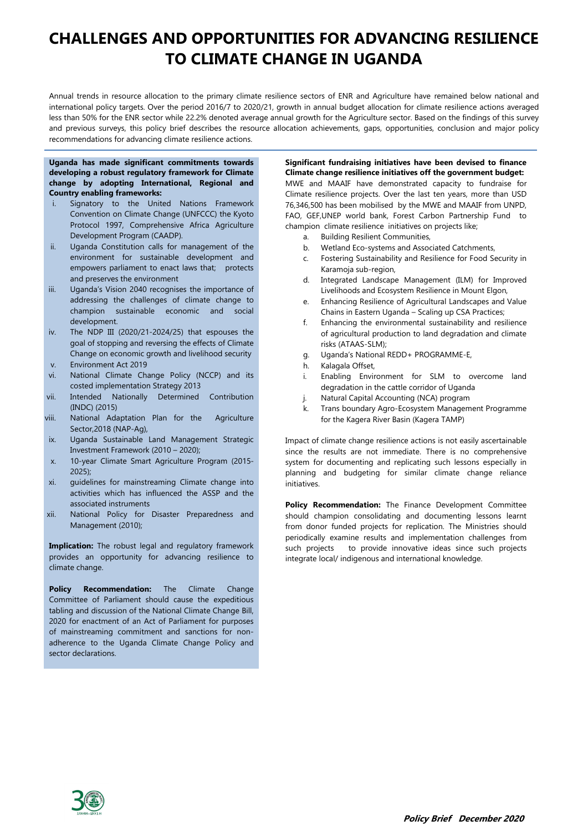# **CHALLENGES AND OPPORTUNITIES FOR ADVANCING RESILIENCE TO CLIMATE CHANGE IN UGANDA**

Annual trends in resource allocation to the primary climate resilience sectors of ENR and Agriculture have remained below national and international policy targets. Over the period 2016/7 to 2020/21, growth in annual budget allocation for climate resilience actions averaged less than 50% for the ENR sector while 22.2% denoted average annual growth for the Agriculture sector. Based on the findings of this survey and previous surveys, this policy brief describes the resource allocation achievements, gaps, opportunities, conclusion and major policy recommendations for advancing climate resilience actions.

## **Uganda has made significant commitments towards developing a robust regulatory framework for Climate change by adopting International, Regional and Country enabling frameworks:**

- i. Signatory to the United Nations Framework Convention on Climate Change (UNFCCC) the Kyoto Protocol 1997, Comprehensive Africa Agriculture Development Program (CAADP).
- ii. Uganda Constitution calls for management of the environment for sustainable development and empowers parliament to enact laws that; protects and preserves the environment
- iii. Uganda's Vision 2040 recognises the importance of addressing the challenges of climate change to champion sustainable economic and social development.
- iv. The NDP III (2020/21-2024/25) that espouses the goal of stopping and reversing the effects of Climate Change on economic growth and livelihood security v. Environment Act 2019
- vi. National Climate Change Policy (NCCP) and its costed implementation Strategy 2013
- vii. Intended Nationally Determined Contribution (INDC) (2015)
- viii. National Adaptation Plan for the Agriculture Sector,2018 (NAP-Ag),
- ix. Uganda Sustainable Land Management Strategic Investment Framework (2010 – 2020);
- x. 10-year Climate Smart Agriculture Program (2015- 2025);
- xi. guidelines for mainstreaming Climate change into activities which has influenced the ASSP and the associated instruments
- xii. National Policy for Disaster Preparedness and Management (2010);

**Implication:** The robust legal and regulatory framework provides an opportunity for advancing resilience to climate change.

**Policy Recommendation:** The Climate Change Committee of Parliament should cause the expeditious tabling and discussion of the National Climate Change Bill, 2020 for enactment of an Act of Parliament for purposes of mainstreaming commitment and sanctions for nonadherence to the Uganda Climate Change Policy and sector declarations.

# **Significant fundraising initiatives have been devised to finance Climate change resilience initiatives off the government budget:** MWE and MAAIF have demonstrated capacity to fundraise for Climate resilience projects. Over the last ten years, more than USD 76,346,500 has been mobilised by the MWE and MAAIF from UNPD, FAO, GEF,UNEP world bank, Forest Carbon Partnership Fund to champion climate resilience initiatives on projects like;

- a. Building Resilient Communities,
- b. Wetland Eco-systems and Associated Catchments,
- c. Fostering Sustainability and Resilience for Food Security in Karamoja sub-region,
- d. Integrated Landscape Management (ILM) for Improved Livelihoods and Ecosystem Resilience in Mount Elgon,
- e. Enhancing Resilience of Agricultural Landscapes and Value Chains in Eastern Uganda – Scaling up CSA Practices;
- f. Enhancing the environmental sustainability and resilience of agricultural production to land degradation and climate risks (ATAAS-SLM);
- g. Uganda's National REDD+ PROGRAMME-E,
- h. Kalagala Offset,
- i. Enabling Environment for SLM to overcome land degradation in the cattle corridor of Uganda
- j. Natural Capital Accounting (NCA) program
- k. Trans boundary Agro-Ecosystem Management Programme for the Kagera River Basin (Kagera TAMP)

Impact of climate change resilience actions is not easily ascertainable since the results are not immediate. There is no comprehensive system for documenting and replicating such lessons especially in planning and budgeting for similar climate change reliance initiatives.

**Policy Recommendation:** The Finance Development Committee should champion consolidating and documenting lessons learnt from donor funded projects for replication. The Ministries should periodically examine results and implementation challenges from such projects to provide innovative ideas since such projects integrate local/ indigenous and international knowledge.

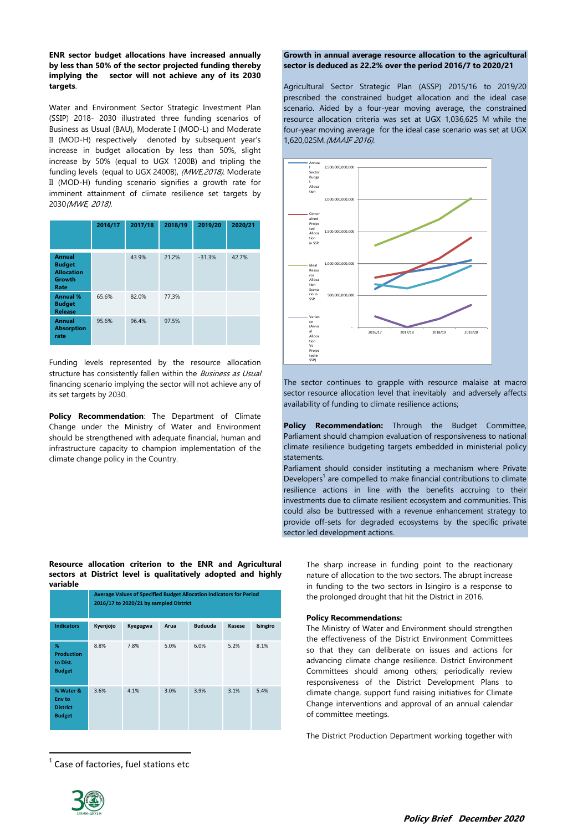## **ENR sector budget allocations have increased annually by less than 50% of the sector projected funding thereby implying the sector will not achieve any of its 2030 targets**.

Water and Environment Sector Strategic Investment Plan (SSIP) 2018- 2030 illustrated three funding scenarios of Business as Usual (BAU), Moderate I (MOD-L) and Moderate II (MOD-H) respectively denoted by subsequent year's increase in budget allocation by less than 50%, slight increase by 50% (equal to UGX 1200B) and tripling the funding levels (equal to UGX 2400B), (MWE,2018). Moderate II (MOD-H) funding scenario signifies a growth rate for imminent attainment of climate resilience set targets by 2030(MWE, 2018).

|                                                                              | 2016/17 | 2017/18 | 2018/19 | 2019/20  | 2020/21 |
|------------------------------------------------------------------------------|---------|---------|---------|----------|---------|
| <b>Annual</b><br><b>Budget</b><br><b>Allocation</b><br><b>Growth</b><br>Rate |         | 43.9%   | 21.2%   | $-31.3%$ | 42.7%   |
| <b>Annual %</b><br><b>Budget</b><br><b>Release</b>                           | 65.6%   | 82.0%   | 77.3%   |          |         |
| <b>Annual</b><br><b>Absorption</b><br>rate                                   | 95.6%   | 96.4%   | 97.5%   |          |         |

Funding levels represented by the resource allocation structure has consistently fallen within the Business as Usual financing scenario implying the sector will not achieve any of its set targets by 2030.

**Policy Recommendation**: The Department of Climate Change under the Ministry of Water and Environment should be strengthened with adequate financial, human and infrastructure capacity to champion implementation of the climate change policy in the Country.

**Resource allocation criterion to the ENR and Agricultural sectors at District level is qualitatively adopted and highly variable**

|                                                         | Average Values of Specified Budget Allocation Indicators for Period<br>2016/17 to 2020/21 by sampled District |          |      |                |               |          |  |
|---------------------------------------------------------|---------------------------------------------------------------------------------------------------------------|----------|------|----------------|---------------|----------|--|
| <b>Indicators</b>                                       | Kyenjojo                                                                                                      | Kyegegwa | Arua | <b>Buduuda</b> | <b>Kasese</b> | Isingiro |  |
| %<br><b>Production</b><br>to Dist.<br><b>Budget</b>     | 8.8%                                                                                                          | 7.8%     | 5.0% | 6.0%           | 5.2%          | 8.1%     |  |
| % Water &<br>Env to<br><b>District</b><br><b>Budget</b> | 3.6%                                                                                                          | 4.1%     | 3.0% | 3.9%           | 3.1%          | 5.4%     |  |

 $<sup>1</sup>$  Case of factories, fuel stations etc</sup>

## **Growth in annual average resource allocation to the agricultural sector is deduced as 22.2% over the period 2016/7 to 2020/21**

Agricultural Sector Strategic Plan (ASSP) 2015/16 to 2019/20 prescribed the constrained budget allocation and the ideal case scenario. Aided by a four-year moving average, the constrained resource allocation criteria was set at UGX 1,036,625 M while the four-year moving average for the ideal case scenario was set at UGX 1,620,025M.(MAAIF 2016).



The sector continues to grapple with resource malaise at macro sector resource allocation level that inevitably and adversely affects availability of funding to climate resilience actions;

**Policy Recommendation:** Through the Budget Committee, Parliament should champion evaluation of responsiveness to national climate resilience budgeting targets embedded in ministerial policy statements.

Parliament should consider instituting a mechanism where Private Developers<sup>1</sup> are compelled to make financial contributions to climate resilience actions in line with the benefits accruing to their investments due to climate resilient ecosystem and communities. This could also be buttressed with a revenue enhancement strategy to provide off-sets for degraded ecosystems by the specific private sector led development actions.

The sharp increase in funding point to the reactionary nature of allocation to the two sectors. The abrupt increase in funding to the two sectors in Isingiro is a response to the prolonged drought that hit the District in 2016.

## **Policy Recommendations:**

The Ministry of Water and Environment should strengthen the effectiveness of the District Environment Committees so that they can deliberate on issues and actions for advancing climate change resilience. District Environment Committees should among others; periodically review responsiveness of the District Development Plans to climate change, support fund raising initiatives for Climate Change interventions and approval of an annual calendar of committee meetings.

The District Production Department working together with



 $\overline{a}$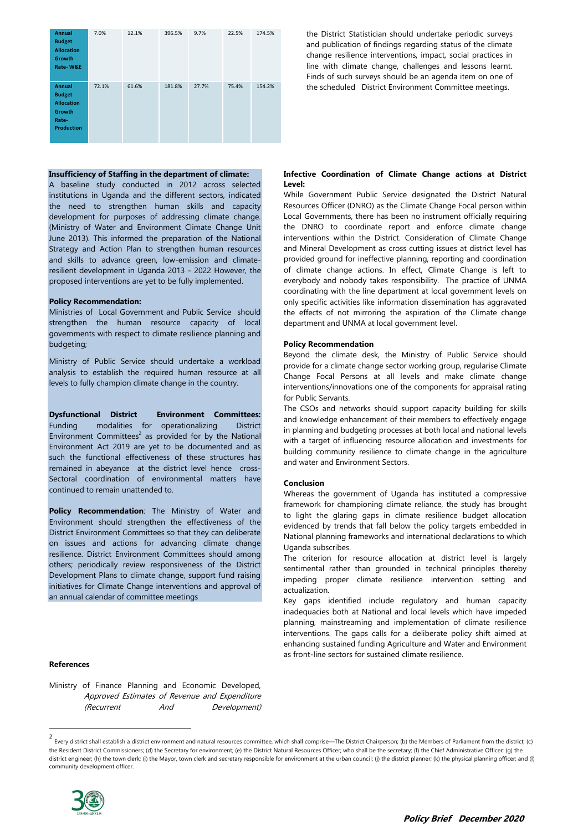| <b>Annual</b><br><b>Budget</b><br><b>Allocation</b><br><b>Growth</b><br>Rate-W&E                   | 7.0%  | 12.1% | 396.5% | 9.7%  | 22.5% | 174.5% |
|----------------------------------------------------------------------------------------------------|-------|-------|--------|-------|-------|--------|
| <b>Annual</b><br><b>Budget</b><br><b>Allocation</b><br><b>Growth</b><br>Rate-<br><b>Production</b> | 72.1% | 61.6% | 181.8% | 27.7% | 75.4% | 154.2% |

#### **Insufficiency of Staffing in the department of climate:**

A baseline study conducted in 2012 across selected institutions in Uganda and the different sectors, indicated the need to strengthen human skills and capacity development for purposes of addressing climate change. (Ministry of Water and Environment Climate Change Unit June 2013). This informed the preparation of the National Strategy and Action Plan to strengthen human resources and skills to advance green, low-emission and climateresilient development in Uganda 2013 - 2022 However, the proposed interventions are yet to be fully implemented.

#### **Policy Recommendation:**

Ministries of Local Government and Public Service should strengthen the human resource capacity of local governments with respect to climate resilience planning and budgeting;

Ministry of Public Service should undertake a workload analysis to establish the required human resource at all levels to fully champion climate change in the country.

**Dysfunctional District Environment Committees:** Funding modalities for operationalizing District Environment Committees $2$  as provided for by the National Environment Act 2019 are yet to be documented and as such the functional effectiveness of these structures has remained in abeyance at the district level hence cross-Sectoral coordination of environmental matters have continued to remain unattended to.

**Policy Recommendation**: The Ministry of Water and Environment should strengthen the effectiveness of the District Environment Committees so that they can deliberate on issues and actions for advancing climate change resilience. District Environment Committees should among others; periodically review responsiveness of the District Development Plans to climate change, support fund raising initiatives for Climate Change interventions and approval of an annual calendar of committee meetings

## **References**

 $\overline{a}$ 

Ministry of Finance Planning and Economic Developed, Approved Estimates of Revenue and Expenditure (Recurrent And Development)

the District Statistician should undertake periodic surveys and publication of findings regarding status of the climate change resilience interventions, impact, social practices in line with climate change, challenges and lessons learnt. Finds of such surveys should be an agenda item on one of the scheduled District Environment Committee meetings.

## **Infective Coordination of Climate Change actions at District Level:**

While Government Public Service designated the District Natural Resources Officer (DNRO) as the Climate Change Focal person within Local Governments, there has been no instrument officially requiring the DNRO to coordinate report and enforce climate change interventions within the District. Consideration of Climate Change and Mineral Development as cross cutting issues at district level has provided ground for ineffective planning, reporting and coordination of climate change actions. In effect, Climate Change is left to everybody and nobody takes responsibility. The practice of UNMA coordinating with the line department at local government levels on only specific activities like information dissemination has aggravated the effects of not mirroring the aspiration of the Climate change department and UNMA at local government level.

#### **Policy Recommendation**

Beyond the climate desk, the Ministry of Public Service should provide for a climate change sector working group, regularise Climate Change Focal Persons at all levels and make climate change interventions/innovations one of the components for appraisal rating for Public Servants.

The CSOs and networks should support capacity building for skills and knowledge enhancement of their members to effectively engage in planning and budgeting processes at both local and national levels with a target of influencing resource allocation and investments for building community resilience to climate change in the agriculture and water and Environment Sectors.

### **Conclusion**

Whereas the government of Uganda has instituted a compressive framework for championing climate reliance, the study has brought to light the glaring gaps in climate resilience budget allocation evidenced by trends that fall below the policy targets embedded in National planning frameworks and international declarations to which Uganda subscribes.

The criterion for resource allocation at district level is largely sentimental rather than grounded in technical principles thereby impeding proper climate resilience intervention setting and actualization.

Key gaps identified include regulatory and human capacity inadequacies both at National and local levels which have impeded planning, mainstreaming and implementation of climate resilience interventions. The gaps calls for a deliberate policy shift aimed at enhancing sustained funding Agriculture and Water and Environment as front-line sectors for sustained climate resilience.

<sup>2</sup> Every district shall establish a district environment and natural resources committee, which shall comprise—The District Chairperson; (b) the Members of Parliament from the district; (c) the Resident District Commissioners; (d) the Secretary for environment; (e) the District Natural Resources Officer; who shall be the secretary; (f) the Chief Administrative Officer; (g) the district engineer; (h) the town clerk; (i) the Mayor, town clerk and secretary responsible for environment at the urban council; (i) the district planner; (k) the physical planning officer; and (l) community development officer.